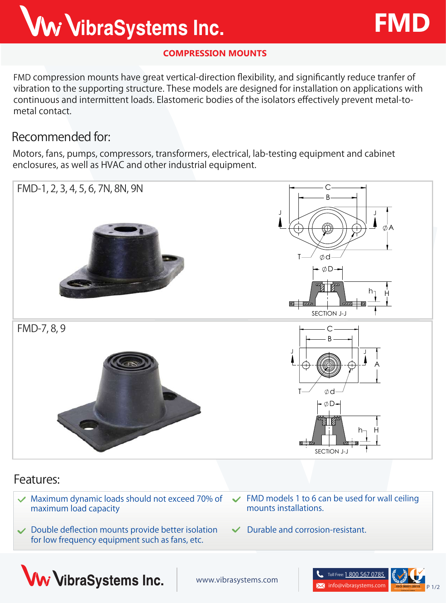## Ww VibraSystems Inc.

#### **COMPRESSION MOUNTS**

**FMD** compression mounts have great vertical-direction flexibility, and significantly reduce tranfer of vibration to the supporting structure. These models are designed for installation on applications with continuous and intermittent loads. Elastomeric bodies of the isolators effectively prevent metal-tometal contact.

### **Recommended for:**

Motors, fans, pumps, compressors, transformers, electrical, lab-testing equipment and cabinet enclosures, as well as HVAC and other industrial equipment.





**FMD**